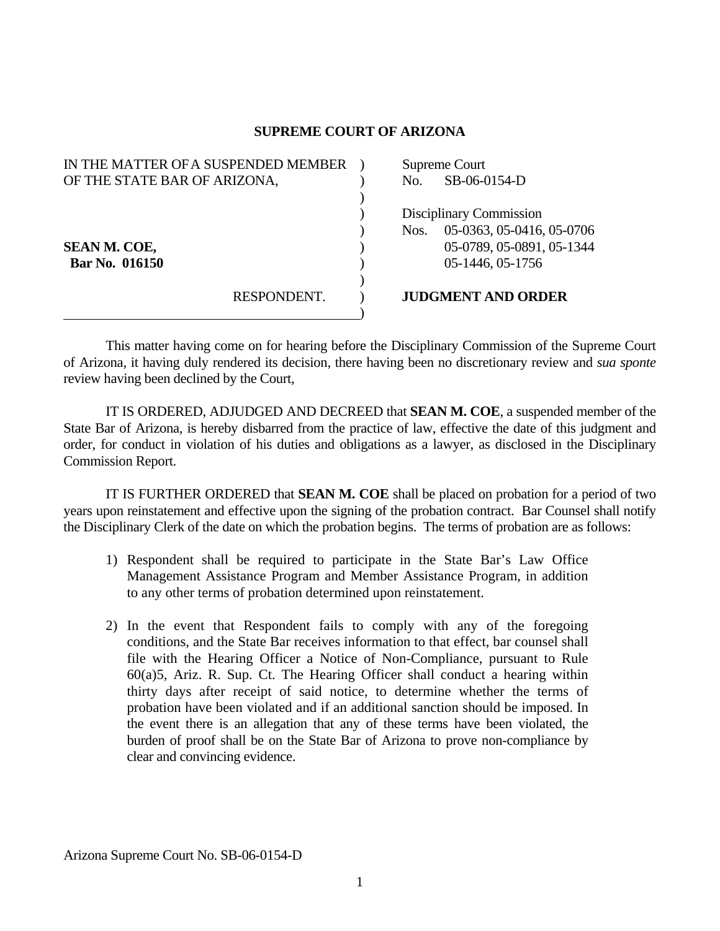## **SUPREME COURT OF ARIZONA**

| IN THE MATTER OF A SUSPENDED MEMBER | Supreme Court                     |
|-------------------------------------|-----------------------------------|
| OF THE STATE BAR OF ARIZONA,        | SB-06-0154-D<br>No.               |
|                                     |                                   |
|                                     | Disciplinary Commission           |
|                                     | 05-0363, 05-0416, 05-0706<br>Nos. |
| <b>SEAN M. COE,</b>                 | 05-0789, 05-0891, 05-1344         |
| Bar No. 016150                      | 05-1446, 05-1756                  |
|                                     |                                   |
| RESPONDENT.                         | <b>JUDGMENT AND ORDER</b>         |
|                                     |                                   |

 This matter having come on for hearing before the Disciplinary Commission of the Supreme Court of Arizona, it having duly rendered its decision, there having been no discretionary review and *sua sponte* review having been declined by the Court,

 IT IS ORDERED, ADJUDGED AND DECREED that **SEAN M. COE**, a suspended member of the State Bar of Arizona, is hereby disbarred from the practice of law, effective the date of this judgment and order, for conduct in violation of his duties and obligations as a lawyer, as disclosed in the Disciplinary Commission Report.

 IT IS FURTHER ORDERED that **SEAN M. COE** shall be placed on probation for a period of two years upon reinstatement and effective upon the signing of the probation contract. Bar Counsel shall notify the Disciplinary Clerk of the date on which the probation begins. The terms of probation are as follows:

- 1) Respondent shall be required to participate in the State Bar's Law Office Management Assistance Program and Member Assistance Program, in addition to any other terms of probation determined upon reinstatement.
- 2) In the event that Respondent fails to comply with any of the foregoing conditions, and the State Bar receives information to that effect, bar counsel shall file with the Hearing Officer a Notice of Non-Compliance, pursuant to Rule 60(a)5, Ariz. R. Sup. Ct. The Hearing Officer shall conduct a hearing within thirty days after receipt of said notice, to determine whether the terms of probation have been violated and if an additional sanction should be imposed. In the event there is an allegation that any of these terms have been violated, the burden of proof shall be on the State Bar of Arizona to prove non-compliance by clear and convincing evidence.

Arizona Supreme Court No. SB-06-0154-D